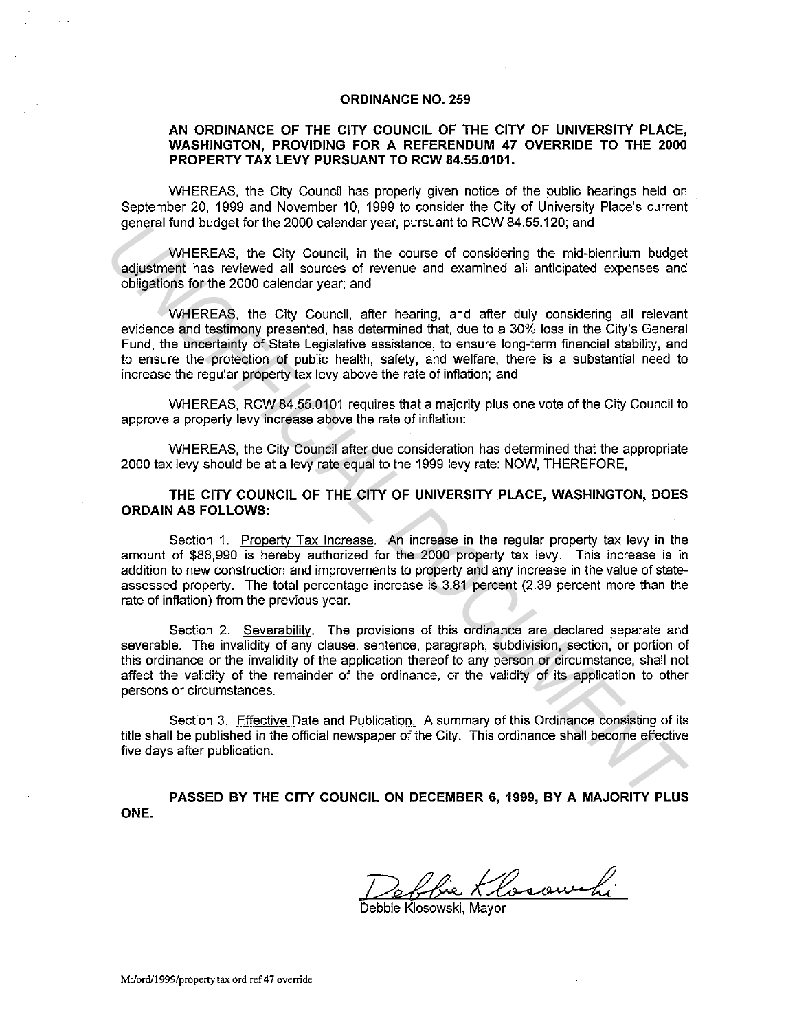## **ORDINANCE NO. 259**

## **AN ORDINANCE OF THE CITY COUNCIL OF THE CITY OF UNIVERSITY PLACE, WASHINGTON, PROVIDING FOR A REFERENDUM 47 OVERRIDE TO THE 2000 PROPERTY TAX LEVY PURSUANT TO RCW 84.55.0101.**

WHEREAS, the City Council has properly given notice of the public hearings held on September 20, 1999 and November 10, 1999 to consider the City of University Place's current general fund budget for the 2000 calendar year, pursuant to RCW 84.55.120; and

WHEREAS, the City Council, in the course of considering the mid-biennium budget adjustment has reviewed all sources of revenue and examined all anticipated expenses and obligations for the 2000 calendar year; and

WHEREAS, the City Council, after hearing, and after duly considering all relevant evidence and testimony presented, has determined that, due to a 30% loss in the City's General Fund, the uncertainty of State Legislative assistance, to ensure long-term financial stability, and to ensure the protection of public health, safety, and welfare, there is a substantial need to increase the regular property tax levy above the rate of infiation; and

WHEREAS, RCW 84.55.0101 requires that a majority plus one vote of the City Council to approve a property levy increase above the rate of infiation:

WHEREAS, the City Council after due consideration has determined that the appropriate 2000 tax levy should be at a levy rate equal to the 1999 levy rate: NOW, THEREFORE,

**THE CITY COUNCIL OF THE CITY OF UNIVERSITY PLACE, WASHINGTON, DOES ORDAIN AS FOLLOWS:** 

Section 1. Propertv Tax Increase. An increase in the regular property tax levy in the amount of \$88,990 is hereby authorized for the 2000 property tax levy. This increase is in addition to new construction and improvements to property and any increase in the value of stateassessed property. The total percentage increase is 3.81 percent (2.39 percent more than the rate of infiation) from the previous year.

Section 2. Severability. The provisions of this ordinance are declared separate and severable. The invalidity of any clause, sentence, paragraph, subdivision, section, or portion of this ordinance or the invalidity of the application thereof to any person or circumstance, shall not affect the validity of the remainder of the ordinance, or the validity of its application to other persons or circumstances. general rund Dudget 10° the Z000 calendar year, punstant to Rove 64.50.120, and<br>adjustment has reviewed all sources of revenue and examined all ambicipated expenses and<br>obligations for the E2000 calendar year, and<br>contract

Section 3. Effective Date and Publication. A summary of this Ordinance consisting of its title shall be published in the official newspaper of the City. This ordinance shall become effective five days after publication.

**PASSED BY THE CITY COUNCIL ON DECEMBER 6, 1999, BY A MAJORITY PLUS ONE.** 

Pebbie Klosowski

Debbie Klosowski, Mavor